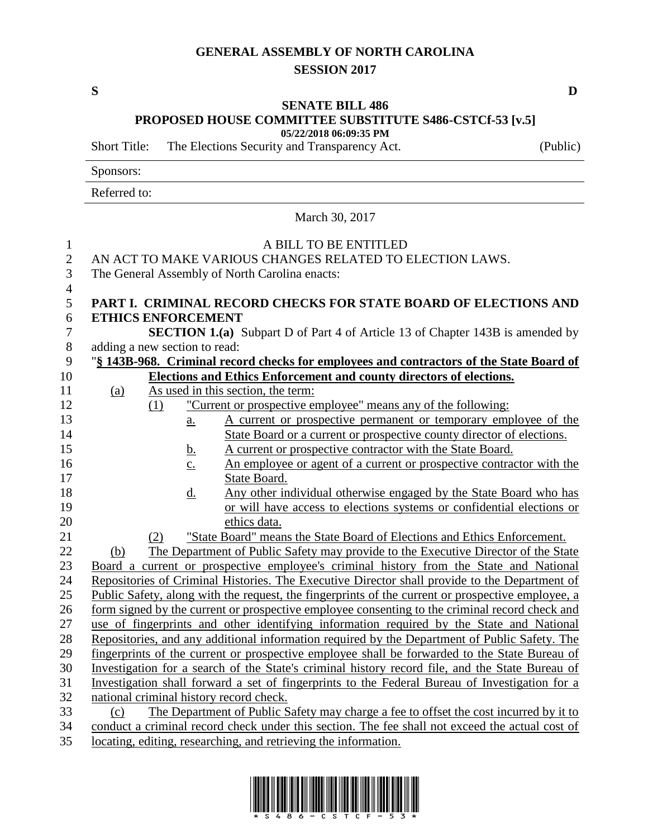## **GENERAL ASSEMBLY OF NORTH CAROLINA SESSION 2017**

## **SENATE BILL 486**

**PROPOSED HOUSE COMMITTEE SUBSTITUTE S486-CSTCf-53 [v.5]**

**05/22/2018 06:09:35 PM**

Short Title: The Elections Security and Transparency Act. (Public)

Sponsors:

Referred to:

March 30, 2017

| $\mathbf{1}$        | A BILL TO BE ENTITLED                                                                             |  |  |  |
|---------------------|---------------------------------------------------------------------------------------------------|--|--|--|
| $\overline{2}$      | AN ACT TO MAKE VARIOUS CHANGES RELATED TO ELECTION LAWS.                                          |  |  |  |
| 3                   | The General Assembly of North Carolina enacts:                                                    |  |  |  |
| $\overline{4}$<br>5 | PART I. CRIMINAL RECORD CHECKS FOR STATE BOARD OF ELECTIONS AND                                   |  |  |  |
| 6                   | <b>ETHICS ENFORCEMENT</b>                                                                         |  |  |  |
| $\overline{7}$      | <b>SECTION 1.(a)</b> Subpart D of Part 4 of Article 13 of Chapter 143B is amended by              |  |  |  |
| 8                   | adding a new section to read:                                                                     |  |  |  |
| 9                   | "§ 143B-968. Criminal record checks for employees and contractors of the State Board of           |  |  |  |
| 10                  | <b>Elections and Ethics Enforcement and county directors of elections.</b>                        |  |  |  |
| 11                  | As used in this section, the term:<br>(a)                                                         |  |  |  |
| 12                  | "Current or prospective employee" means any of the following:<br>(1)                              |  |  |  |
| 13                  | A current or prospective permanent or temporary employee of the<br>$\underline{a}$ .              |  |  |  |
| 14                  | State Board or a current or prospective county director of elections.                             |  |  |  |
| 15                  | A current or prospective contractor with the State Board.<br><u>b.</u>                            |  |  |  |
| 16                  | An employee or agent of a current or prospective contractor with the<br>$\overline{c}$ .          |  |  |  |
| 17                  | State Board.                                                                                      |  |  |  |
| 18                  | Any other individual otherwise engaged by the State Board who has<br><u>d.</u>                    |  |  |  |
| 19                  | or will have access to elections systems or confidential elections or                             |  |  |  |
| 20                  | ethics data.                                                                                      |  |  |  |
| 21                  | "State Board" means the State Board of Elections and Ethics Enforcement.<br>(2)                   |  |  |  |
| 22                  | The Department of Public Safety may provide to the Executive Director of the State<br>(b)         |  |  |  |
| 23                  | Board a current or prospective employee's criminal history from the State and National            |  |  |  |
| 24                  | Repositories of Criminal Histories. The Executive Director shall provide to the Department of     |  |  |  |
| 25                  | Public Safety, along with the request, the fingerprints of the current or prospective employee, a |  |  |  |
| 26                  | form signed by the current or prospective employee consenting to the criminal record check and    |  |  |  |
| 27                  | use of fingerprints and other identifying information required by the State and National          |  |  |  |
| 28                  | Repositories, and any additional information required by the Department of Public Safety. The     |  |  |  |
| 29                  | fingerprints of the current or prospective employee shall be forwarded to the State Bureau of     |  |  |  |
| 30                  | Investigation for a search of the State's criminal history record file, and the State Bureau of   |  |  |  |
| 31                  | Investigation shall forward a set of fingerprints to the Federal Bureau of Investigation for a    |  |  |  |
| 32                  | national criminal history record check.                                                           |  |  |  |
| 33                  | The Department of Public Safety may charge a fee to offset the cost incurred by it to<br>(c)      |  |  |  |
| 34                  | conduct a criminal record check under this section. The fee shall not exceed the actual cost of   |  |  |  |

35 locating, editing, researching, and retrieving the information.



**S D**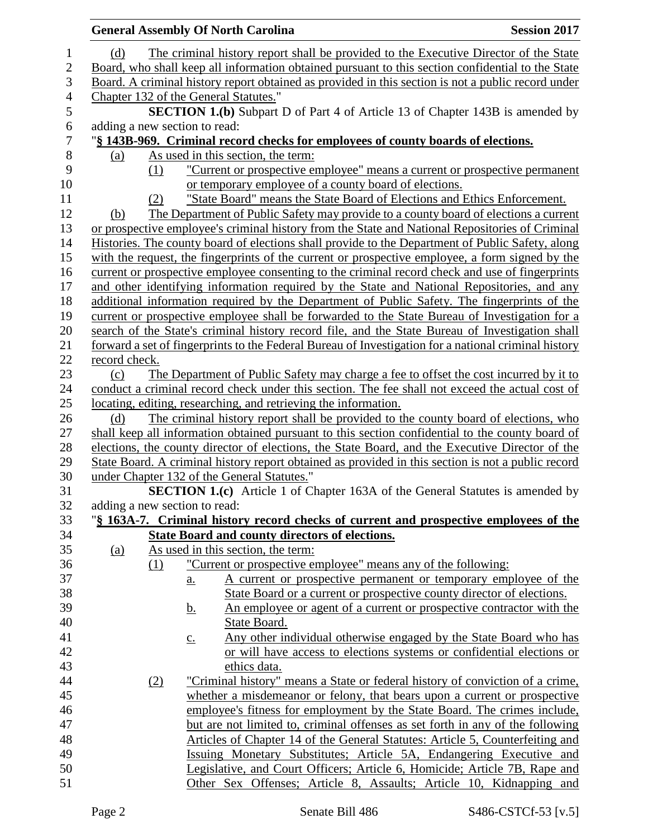|            |               | <b>General Assembly Of North Carolina</b>                                                                                                                                               | <b>Session 2017</b> |
|------------|---------------|-----------------------------------------------------------------------------------------------------------------------------------------------------------------------------------------|---------------------|
| (d)        |               | The criminal history report shall be provided to the Executive Director of the State                                                                                                    |                     |
|            |               | Board, who shall keep all information obtained pursuant to this section confidential to the State                                                                                       |                     |
|            |               | Board. A criminal history report obtained as provided in this section is not a public record under                                                                                      |                     |
|            |               | Chapter 132 of the General Statutes."                                                                                                                                                   |                     |
|            |               | <b>SECTION 1.(b)</b> Subpart D of Part 4 of Article 13 of Chapter 143B is amended by                                                                                                    |                     |
|            |               | adding a new section to read:                                                                                                                                                           |                     |
|            |               | "§ 143B-969. Criminal record checks for employees of county boards of elections.                                                                                                        |                     |
| (a)        |               | As used in this section, the term:                                                                                                                                                      |                     |
|            | (1)           | "Current or prospective employee" means a current or prospective permanent                                                                                                              |                     |
|            |               | or temporary employee of a county board of elections.                                                                                                                                   |                     |
|            |               | "State Board" means the State Board of Elections and Ethics Enforcement.                                                                                                                |                     |
|            | (2)           |                                                                                                                                                                                         |                     |
| (b)        |               | The Department of Public Safety may provide to a county board of elections a current<br>or prospective employee's criminal history from the State and National Repositories of Criminal |                     |
|            |               |                                                                                                                                                                                         |                     |
|            |               | Histories. The county board of elections shall provide to the Department of Public Safety, along                                                                                        |                     |
|            |               | with the request, the fingerprints of the current or prospective employee, a form signed by the                                                                                         |                     |
|            |               | current or prospective employee consenting to the criminal record check and use of fingerprints                                                                                         |                     |
|            |               | and other identifying information required by the State and National Repositories, and any                                                                                              |                     |
|            |               | additional information required by the Department of Public Safety. The fingerprints of the                                                                                             |                     |
|            |               | current or prospective employee shall be forwarded to the State Bureau of Investigation for a                                                                                           |                     |
|            |               | search of the State's criminal history record file, and the State Bureau of Investigation shall                                                                                         |                     |
|            |               | forward a set of fingerprints to the Federal Bureau of Investigation for a national criminal history                                                                                    |                     |
|            | record check. |                                                                                                                                                                                         |                     |
| (c)        |               | The Department of Public Safety may charge a fee to offset the cost incurred by it to                                                                                                   |                     |
|            |               | conduct a criminal record check under this section. The fee shall not exceed the actual cost of                                                                                         |                     |
|            |               | locating, editing, researching, and retrieving the information.                                                                                                                         |                     |
| (d)        |               | The criminal history report shall be provided to the county board of elections, who                                                                                                     |                     |
|            |               | shall keep all information obtained pursuant to this section confidential to the county board of                                                                                        |                     |
|            |               | elections, the county director of elections, the State Board, and the Executive Director of the                                                                                         |                     |
|            |               | State Board. A criminal history report obtained as provided in this section is not a public record                                                                                      |                     |
|            |               | under Chapter 132 of the General Statutes."                                                                                                                                             |                     |
|            |               | SECTION 1.(c) Article 1 of Chapter 163A of the General Statutes is amended by                                                                                                           |                     |
|            |               | adding a new section to read:                                                                                                                                                           |                     |
|            |               | "§ 163A-7. Criminal history record checks of current and prospective employees of the                                                                                                   |                     |
|            |               | <b>State Board and county directors of elections.</b>                                                                                                                                   |                     |
| <u>(a)</u> |               | As used in this section, the term:                                                                                                                                                      |                     |
|            | (1)           | "Current or prospective employee" means any of the following:                                                                                                                           |                     |
|            |               | A current or prospective permanent or temporary employee of the<br>$\underline{a}$ .                                                                                                    |                     |
|            |               | State Board or a current or prospective county director of elections.                                                                                                                   |                     |
|            |               | <u>An employee or agent of a current or prospective contractor with the</u><br><u>b.</u>                                                                                                |                     |
|            |               | State Board.                                                                                                                                                                            |                     |
|            |               | Any other individual otherwise engaged by the State Board who has<br>$\underline{c}$ .                                                                                                  |                     |
|            |               | or will have access to elections systems or confidential elections or                                                                                                                   |                     |
|            |               | ethics data.                                                                                                                                                                            |                     |
|            | (2)           | "Criminal history" means a State or federal history of conviction of a crime,                                                                                                           |                     |
|            |               | whether a misdemeanor or felony, that bears upon a current or prospective                                                                                                               |                     |
|            |               | employee's fitness for employment by the State Board. The crimes include,                                                                                                               |                     |
|            |               | but are not limited to, criminal offenses as set forth in any of the following                                                                                                          |                     |
|            |               | Articles of Chapter 14 of the General Statutes: Article 5, Counterfeiting and                                                                                                           |                     |
|            |               | Issuing Monetary Substitutes; Article 5A, Endangering Executive and                                                                                                                     |                     |
|            |               | Legislative, and Court Officers; Article 6, Homicide; Article 7B, Rape and                                                                                                              |                     |
|            |               | Other Sex Offenses; Article 8, Assaults; Article 10, Kidnapping and                                                                                                                     |                     |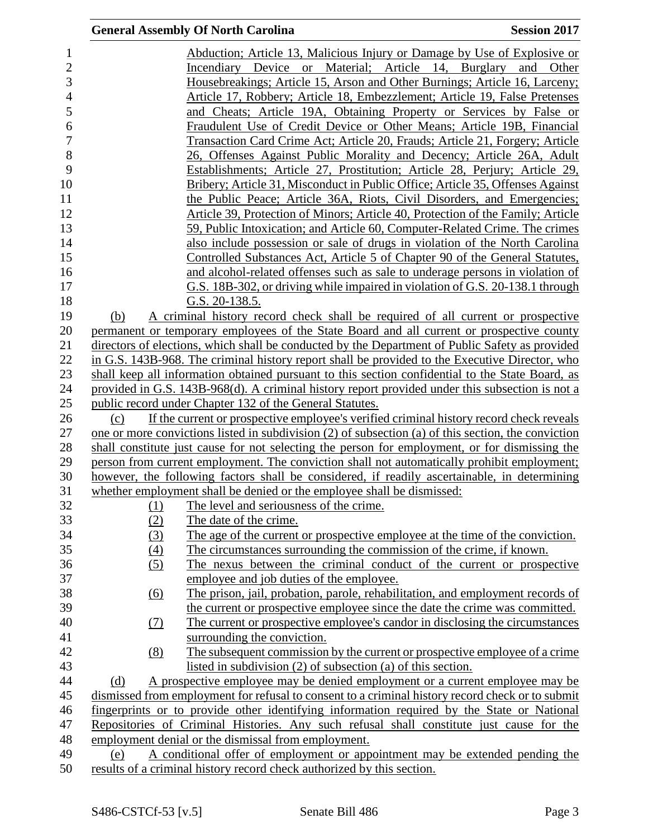|                |                   | <b>General Assembly Of North Carolina</b>                                                               | <b>Session 2017</b> |
|----------------|-------------------|---------------------------------------------------------------------------------------------------------|---------------------|
| $\mathbf{1}$   |                   | Abduction; Article 13, Malicious Injury or Damage by Use of Explosive or                                |                     |
| $\overline{c}$ |                   | Incendiary Device or Material; Article 14, Burglary and Other                                           |                     |
| 3              |                   | Housebreakings; Article 15, Arson and Other Burnings; Article 16, Larceny;                              |                     |
|                |                   | Article 17, Robbery; Article 18, Embezzlement; Article 19, False Pretenses                              |                     |
|                |                   | and Cheats; Article 19A, Obtaining Property or Services by False or                                     |                     |
|                |                   | Fraudulent Use of Credit Device or Other Means; Article 19B, Financial                                  |                     |
|                |                   | Transaction Card Crime Act; Article 20, Frauds; Article 21, Forgery; Article                            |                     |
|                |                   | 26, Offenses Against Public Morality and Decency; Article 26A, Adult                                    |                     |
|                |                   |                                                                                                         |                     |
|                |                   | Establishments; Article 27, Prostitution; Article 28, Perjury; Article 29,                              |                     |
|                |                   | Bribery; Article 31, Misconduct in Public Office; Article 35, Offenses Against                          |                     |
|                |                   | the Public Peace; Article 36A, Riots, Civil Disorders, and Emergencies;                                 |                     |
|                |                   | Article 39, Protection of Minors; Article 40, Protection of the Family; Article                         |                     |
|                |                   | 59, Public Intoxication; and Article 60, Computer-Related Crime. The crimes                             |                     |
|                |                   | also include possession or sale of drugs in violation of the North Carolina                             |                     |
|                |                   | Controlled Substances Act, Article 5 of Chapter 90 of the General Statutes,                             |                     |
|                |                   | and alcohol-related offenses such as sale to underage persons in violation of                           |                     |
|                |                   | G.S. 18B-302, or driving while impaired in violation of G.S. 20-138.1 through                           |                     |
|                |                   | G.S. $20-138.5$ .                                                                                       |                     |
|                | (b)               | A criminal history record check shall be required of all current or prospective                         |                     |
|                |                   | permanent or temporary employees of the State Board and all current or prospective county               |                     |
|                |                   | directors of elections, which shall be conducted by the Department of Public Safety as provided         |                     |
|                |                   | in G.S. 143B-968. The criminal history report shall be provided to the Executive Director, who          |                     |
|                |                   | shall keep all information obtained pursuant to this section confidential to the State Board, as        |                     |
|                |                   | provided in G.S. 143B-968(d). A criminal history report provided under this subsection is not a         |                     |
|                |                   | public record under Chapter 132 of the General Statutes.                                                |                     |
|                | (c)               | If the current or prospective employee's verified criminal history record check reveals                 |                     |
|                |                   | one or more convictions listed in subdivision $(2)$ of subsection $(a)$ of this section, the conviction |                     |
|                |                   | shall constitute just cause for not selecting the person for employment, or for dismissing the          |                     |
|                |                   | person from current employment. The conviction shall not automatically prohibit employment;             |                     |
|                |                   | however, the following factors shall be considered, if readily ascertainable, in determining            |                     |
|                |                   | whether employment shall be denied or the employee shall be dismissed:                                  |                     |
|                | (1)               | The level and seriousness of the crime.                                                                 |                     |
|                | (2)               | The date of the crime.                                                                                  |                     |
|                | (3)               | The age of the current or prospective employee at the time of the conviction.                           |                     |
|                | (4)               | The circumstances surrounding the commission of the crime, if known.                                    |                     |
|                | (5)               | The nexus between the criminal conduct of the current or prospective                                    |                     |
|                |                   | employee and job duties of the employee.                                                                |                     |
|                | $\underline{(6)}$ | The prison, jail, probation, parole, rehabilitation, and employment records of                          |                     |
|                |                   | the current or prospective employee since the date the crime was committed.                             |                     |
|                | <u>(7)</u>        | The current or prospective employee's candor in disclosing the circumstances                            |                     |
|                |                   | surrounding the conviction.                                                                             |                     |
|                | (8)               | The subsequent commission by the current or prospective employee of a crime                             |                     |
|                |                   | listed in subdivision $(2)$ of subsection $(a)$ of this section.                                        |                     |
|                | (d)               | A prospective employee may be denied employment or a current employee may be                            |                     |
|                |                   | dismissed from employment for refusal to consent to a criminal history record check or to submit        |                     |
|                |                   | fingerprints or to provide other identifying information required by the State or National              |                     |
|                |                   | Repositories of Criminal Histories. Any such refusal shall constitute just cause for the                |                     |
|                |                   | employment denial or the dismissal from employment.                                                     |                     |
|                | (e)               | A conditional offer of employment or appointment may be extended pending the                            |                     |
|                |                   | results of a criminal history record check authorized by this section.                                  |                     |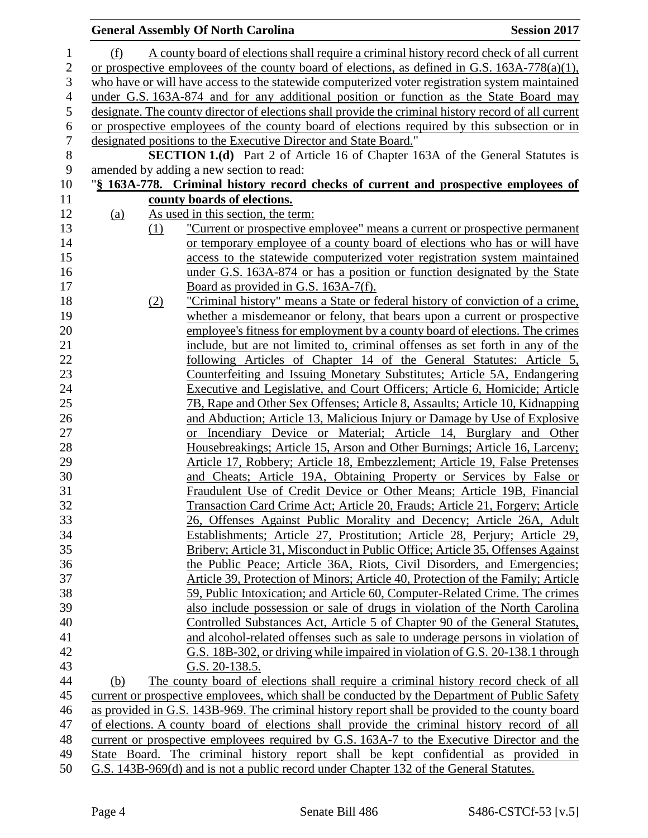|            |     | <b>General Assembly Of North Carolina</b>                                                            | <b>Session 2017</b> |
|------------|-----|------------------------------------------------------------------------------------------------------|---------------------|
| (f)        |     | A county board of elections shall require a criminal history record check of all current             |                     |
|            |     | or prospective employees of the county board of elections, as defined in G.S. $163A-778(a)(1)$ ,     |                     |
|            |     | who have or will have access to the statewide computerized voter registration system maintained      |                     |
|            |     | under G.S. 163A-874 and for any additional position or function as the State Board may               |                     |
|            |     | designate. The county director of elections shall provide the criminal history record of all current |                     |
|            |     | or prospective employees of the county board of elections required by this subsection or in          |                     |
|            |     | designated positions to the Executive Director and State Board."                                     |                     |
|            |     | <b>SECTION 1.(d)</b> Part 2 of Article 16 of Chapter 163A of the General Statutes is                 |                     |
|            |     | amended by adding a new section to read:                                                             |                     |
|            |     | "§ 163A-778. Criminal history record checks of current and prospective employees of                  |                     |
|            |     | county boards of elections.                                                                          |                     |
| <u>(a)</u> |     | As used in this section, the term:                                                                   |                     |
|            | (1) | <u>"Current or prospective employee" means a current or prospective permanent</u>                    |                     |
|            |     | or temporary employee of a county board of elections who has or will have                            |                     |
|            |     | access to the statewide computerized voter registration system maintained                            |                     |
|            |     | under G.S. 163A-874 or has a position or function designated by the State                            |                     |
|            |     | Board as provided in G.S. 163A-7(f).                                                                 |                     |
|            | (2) | "Criminal history" means a State or federal history of conviction of a crime,                        |                     |
|            |     | whether a misdemeanor or felony, that bears upon a current or prospective                            |                     |
|            |     | employee's fitness for employment by a county board of elections. The crimes                         |                     |
|            |     | include, but are not limited to, criminal offenses as set forth in any of the                        |                     |
|            |     | following Articles of Chapter 14 of the General Statutes: Article 5,                                 |                     |
|            |     | Counterfeiting and Issuing Monetary Substitutes; Article 5A, Endangering                             |                     |
|            |     | Executive and Legislative, and Court Officers; Article 6, Homicide; Article                          |                     |
|            |     | 7B, Rape and Other Sex Offenses; Article 8, Assaults; Article 10, Kidnapping                         |                     |
|            |     | and Abduction; Article 13, Malicious Injury or Damage by Use of Explosive                            |                     |
|            |     | Incendiary Device or Material; Article 14, Burglary and Other<br>or                                  |                     |
|            |     | Housebreakings; Article 15, Arson and Other Burnings; Article 16, Larceny;                           |                     |
|            |     | Article 17, Robbery; Article 18, Embezzlement; Article 19, False Pretenses                           |                     |
|            |     | and Cheats; Article 19A, Obtaining Property or Services by False or                                  |                     |
|            |     | Fraudulent Use of Credit Device or Other Means; Article 19B, Financial                               |                     |
|            |     | Transaction Card Crime Act; Article 20, Frauds; Article 21, Forgery; Article                         |                     |
|            |     | 26, Offenses Against Public Morality and Decency; Article 26A, Adult                                 |                     |
|            |     | Establishments; Article 27, Prostitution; Article 28, Perjury; Article 29,                           |                     |
|            |     | Bribery; Article 31, Misconduct in Public Office; Article 35, Offenses Against                       |                     |
|            |     | the Public Peace; Article 36A, Riots, Civil Disorders, and Emergencies;                              |                     |
|            |     | Article 39, Protection of Minors; Article 40, Protection of the Family; Article                      |                     |
|            |     | 59, Public Intoxication; and Article 60, Computer-Related Crime. The crimes                          |                     |
|            |     | also include possession or sale of drugs in violation of the North Carolina                          |                     |
|            |     | Controlled Substances Act, Article 5 of Chapter 90 of the General Statutes,                          |                     |
|            |     | and alcohol-related offenses such as sale to underage persons in violation of                        |                     |
|            |     | G.S. 18B-302, or driving while impaired in violation of G.S. 20-138.1 through                        |                     |
|            |     | G.S. 20-138.5.                                                                                       |                     |
| (b)        |     | The county board of elections shall require a criminal history record check of all                   |                     |
|            |     | current or prospective employees, which shall be conducted by the Department of Public Safety        |                     |
|            |     | as provided in G.S. 143B-969. The criminal history report shall be provided to the county board      |                     |
|            |     | of elections. A county board of elections shall provide the criminal history record of all           |                     |
|            |     | current or prospective employees required by G.S. 163A-7 to the Executive Director and the           |                     |
|            |     | State Board. The criminal history report shall be kept confidential as provided in                   |                     |
|            |     | G.S. 143B-969(d) and is not a public record under Chapter 132 of the General Statutes.               |                     |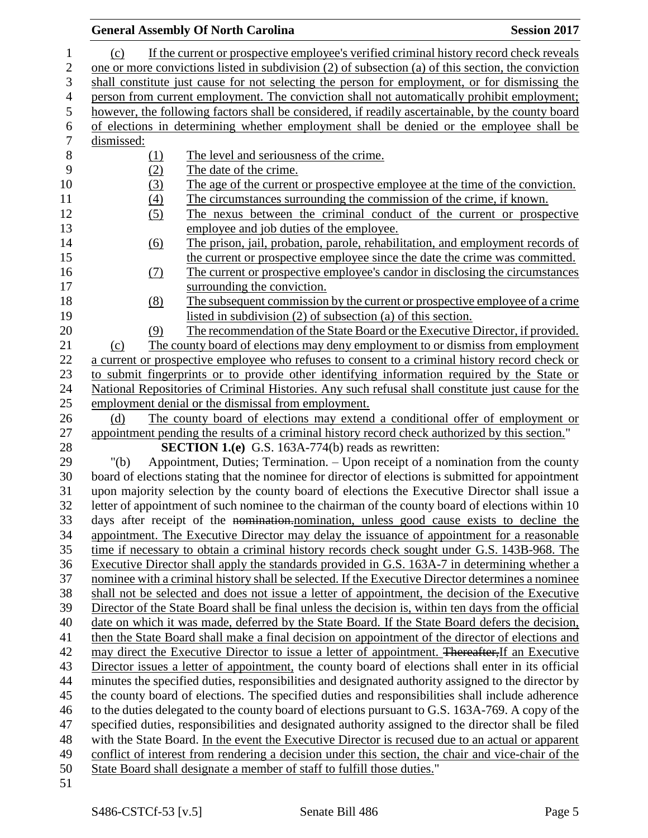|                   | <b>General Assembly Of North Carolina</b>                                                                                                                                                               | <b>Session 2017</b> |
|-------------------|---------------------------------------------------------------------------------------------------------------------------------------------------------------------------------------------------------|---------------------|
| (c)               | If the current or prospective employee's verified criminal history record check reveals                                                                                                                 |                     |
|                   | one or more convictions listed in subdivision (2) of subsection (a) of this section, the conviction                                                                                                     |                     |
|                   | shall constitute just cause for not selecting the person for employment, or for dismissing the                                                                                                          |                     |
|                   | person from current employment. The conviction shall not automatically prohibit employment;                                                                                                             |                     |
|                   | however, the following factors shall be considered, if readily ascertainable, by the county board                                                                                                       |                     |
|                   | of elections in determining whether employment shall be denied or the employee shall be                                                                                                                 |                     |
| dismissed:        |                                                                                                                                                                                                         |                     |
| <u>(1)</u>        | The level and seriousness of the crime.                                                                                                                                                                 |                     |
| (2)               | The date of the crime.                                                                                                                                                                                  |                     |
| (3)               | The age of the current or prospective employee at the time of the conviction.                                                                                                                           |                     |
| (4)               | The circumstances surrounding the commission of the crime, if known.                                                                                                                                    |                     |
| (5)               | The nexus between the criminal conduct of the current or prospective                                                                                                                                    |                     |
|                   | employee and job duties of the employee.                                                                                                                                                                |                     |
| $\underline{(6)}$ | The prison, jail, probation, parole, rehabilitation, and employment records of                                                                                                                          |                     |
|                   | the current or prospective employee since the date the crime was committed.                                                                                                                             |                     |
| <u>(7)</u>        | The current or prospective employee's candor in disclosing the circumstances                                                                                                                            |                     |
|                   | surrounding the conviction.                                                                                                                                                                             |                     |
| (8)               | The subsequent commission by the current or prospective employee of a crime                                                                                                                             |                     |
|                   | listed in subdivision (2) of subsection (a) of this section.                                                                                                                                            |                     |
| (9)               | The recommendation of the State Board or the Executive Director, if provided.                                                                                                                           |                     |
| (c)               | The county board of elections may deny employment to or dismiss from employment<br>a current or prospective employee who refuses to consent to a criminal history record check or                       |                     |
|                   | to submit fingerprints or to provide other identifying information required by the State or                                                                                                             |                     |
|                   | National Repositories of Criminal Histories. Any such refusal shall constitute just cause for the                                                                                                       |                     |
|                   | employment denial or the dismissal from employment.                                                                                                                                                     |                     |
| (d)               | The county board of elections may extend a conditional offer of employment or                                                                                                                           |                     |
|                   | appointment pending the results of a criminal history record check authorized by this section."                                                                                                         |                     |
|                   | <b>SECTION 1.(e)</b> G.S. 163A-774(b) reads as rewritten:                                                                                                                                               |                     |
| " $(b)$           | Appointment, Duties; Termination. – Upon receipt of a nomination from the county                                                                                                                        |                     |
|                   | board of elections stating that the nominee for director of elections is submitted for appointment                                                                                                      |                     |
|                   | upon majority selection by the county board of elections the Executive Director shall issue a                                                                                                           |                     |
|                   | letter of appointment of such nominee to the chairman of the county board of elections within 10                                                                                                        |                     |
|                   | days after receipt of the nomination-nomination, unless good cause exists to decline the                                                                                                                |                     |
|                   | appointment. The Executive Director may delay the issuance of appointment for a reasonable                                                                                                              |                     |
|                   | time if necessary to obtain a criminal history records check sought under G.S. 143B-968. The                                                                                                            |                     |
|                   | Executive Director shall apply the standards provided in G.S. 163A-7 in determining whether a                                                                                                           |                     |
|                   | nominee with a criminal history shall be selected. If the Executive Director determines a nominee                                                                                                       |                     |
|                   | shall not be selected and does not issue a letter of appointment, the decision of the Executive<br>Director of the State Board shall be final unless the decision is, within ten days from the official |                     |
|                   | date on which it was made, deferred by the State Board. If the State Board defers the decision,                                                                                                         |                     |
|                   | then the State Board shall make a final decision on appointment of the director of elections and                                                                                                        |                     |
|                   | may direct the Executive Director to issue a letter of appointment. Thereafter, If an Executive                                                                                                         |                     |
|                   | Director issues a letter of appointment, the county board of elections shall enter in its official                                                                                                      |                     |
|                   | minutes the specified duties, responsibilities and designated authority assigned to the director by                                                                                                     |                     |
|                   | the county board of elections. The specified duties and responsibilities shall include adherence                                                                                                        |                     |
|                   | to the duties delegated to the county board of elections pursuant to G.S. 163A-769. A copy of the                                                                                                       |                     |
|                   | specified duties, responsibilities and designated authority assigned to the director shall be filed                                                                                                     |                     |
|                   | with the State Board. In the event the Executive Director is recused due to an actual or apparent                                                                                                       |                     |
|                   | conflict of interest from rendering a decision under this section, the chair and vice-chair of the                                                                                                      |                     |
|                   | State Board shall designate a member of staff to fulfill those duties."                                                                                                                                 |                     |
|                   |                                                                                                                                                                                                         |                     |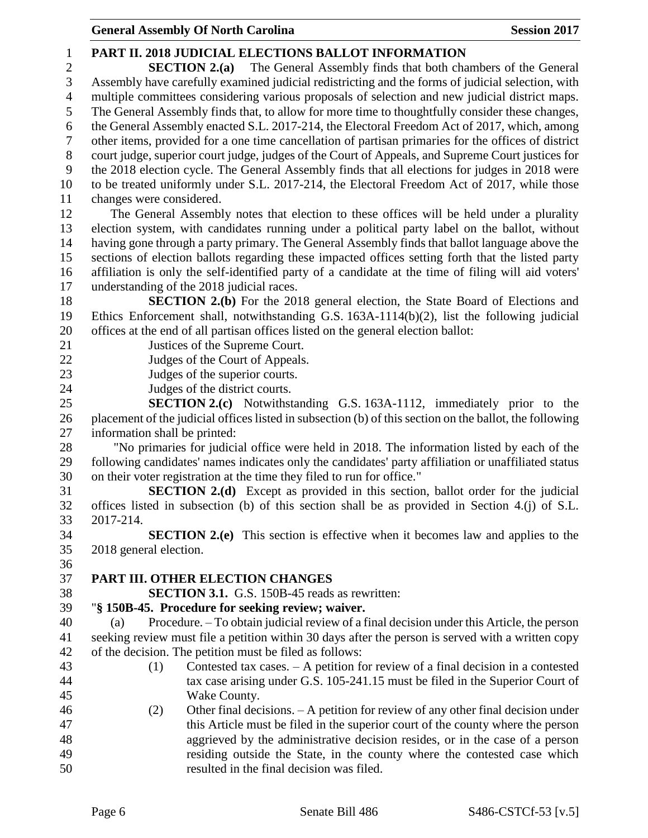| $\mathbf{1}$   | PART II. 2018 JUDICIAL ELECTIONS BALLOT INFORMATION                                                     |  |  |  |  |
|----------------|---------------------------------------------------------------------------------------------------------|--|--|--|--|
| $\mathfrak{2}$ | <b>SECTION 2.(a)</b> The General Assembly finds that both chambers of the General                       |  |  |  |  |
| $\mathfrak{Z}$ | Assembly have carefully examined judicial redistricting and the forms of judicial selection, with       |  |  |  |  |
| $\overline{4}$ | multiple committees considering various proposals of selection and new judicial district maps.          |  |  |  |  |
| 5              | The General Assembly finds that, to allow for more time to thoughtfully consider these changes,         |  |  |  |  |
| 6              | the General Assembly enacted S.L. 2017-214, the Electoral Freedom Act of 2017, which, among             |  |  |  |  |
| $\tau$         | other items, provided for a one time cancellation of partisan primaries for the offices of district     |  |  |  |  |
| $8\,$          | court judge, superior court judge, judges of the Court of Appeals, and Supreme Court justices for       |  |  |  |  |
| 9              | the 2018 election cycle. The General Assembly finds that all elections for judges in 2018 were          |  |  |  |  |
| 10             | to be treated uniformly under S.L. 2017-214, the Electoral Freedom Act of 2017, while those             |  |  |  |  |
| 11             | changes were considered.                                                                                |  |  |  |  |
| 12             | The General Assembly notes that election to these offices will be held under a plurality                |  |  |  |  |
| 13             | election system, with candidates running under a political party label on the ballot, without           |  |  |  |  |
| 14             | having gone through a party primary. The General Assembly finds that ballot language above the          |  |  |  |  |
| 15             | sections of election ballots regarding these impacted offices setting forth that the listed party       |  |  |  |  |
| 16             | affiliation is only the self-identified party of a candidate at the time of filing will aid voters'     |  |  |  |  |
| 17             | understanding of the 2018 judicial races.                                                               |  |  |  |  |
| 18             | <b>SECTION 2.(b)</b> For the 2018 general election, the State Board of Elections and                    |  |  |  |  |
| 19             | Ethics Enforcement shall, notwithstanding G.S. $163A-1114(b)(2)$ , list the following judicial          |  |  |  |  |
| 20             | offices at the end of all partisan offices listed on the general election ballot:                       |  |  |  |  |
| 21             | Justices of the Supreme Court.                                                                          |  |  |  |  |
| 22             | Judges of the Court of Appeals.                                                                         |  |  |  |  |
| 23             | Judges of the superior courts.                                                                          |  |  |  |  |
| 24             | Judges of the district courts.                                                                          |  |  |  |  |
| 25             | <b>SECTION 2.(c)</b> Notwithstanding G.S. 163A-1112, immediately prior to the                           |  |  |  |  |
| 26             | placement of the judicial offices listed in subsection (b) of this section on the ballot, the following |  |  |  |  |
| $27\,$         | information shall be printed:                                                                           |  |  |  |  |
| 28             | "No primaries for judicial office were held in 2018. The information listed by each of the              |  |  |  |  |
| 29             | following candidates' names indicates only the candidates' party affiliation or unaffiliated status     |  |  |  |  |
| 30             | on their voter registration at the time they filed to run for office."                                  |  |  |  |  |
| 31             | <b>SECTION 2.(d)</b> Except as provided in this section, ballot order for the judicial                  |  |  |  |  |
| 32             | offices listed in subsection (b) of this section shall be as provided in Section 4.(j) of S.L.          |  |  |  |  |
| 33             | 2017-214                                                                                                |  |  |  |  |
| 34             | <b>SECTION 2.(e)</b> This section is effective when it becomes law and applies to the                   |  |  |  |  |
| 35             | 2018 general election.                                                                                  |  |  |  |  |
| 36             |                                                                                                         |  |  |  |  |
| 37             | PART III. OTHER ELECTION CHANGES                                                                        |  |  |  |  |
| 38             | <b>SECTION 3.1.</b> G.S. 150B-45 reads as rewritten:                                                    |  |  |  |  |
| 39             | "§ 150B-45. Procedure for seeking review; waiver.                                                       |  |  |  |  |
| 40             | Procedure. – To obtain judicial review of a final decision under this Article, the person<br>(a)        |  |  |  |  |
| 41             | seeking review must file a petition within 30 days after the person is served with a written copy       |  |  |  |  |
| 42             | of the decision. The petition must be filed as follows:                                                 |  |  |  |  |
| 43             | Contested tax cases. $- A$ petition for review of a final decision in a contested<br>(1)                |  |  |  |  |
| 44             | tax case arising under G.S. 105-241.15 must be filed in the Superior Court of                           |  |  |  |  |
| 45             | Wake County.                                                                                            |  |  |  |  |
| 46             | Other final decisions. $- A$ petition for review of any other final decision under<br>(2)               |  |  |  |  |
| 47             | this Article must be filed in the superior court of the county where the person                         |  |  |  |  |
| 48             | aggrieved by the administrative decision resides, or in the case of a person                            |  |  |  |  |
| 49             | residing outside the State, in the county where the contested case which                                |  |  |  |  |
| 50             | resulted in the final decision was filed.                                                               |  |  |  |  |
|                |                                                                                                         |  |  |  |  |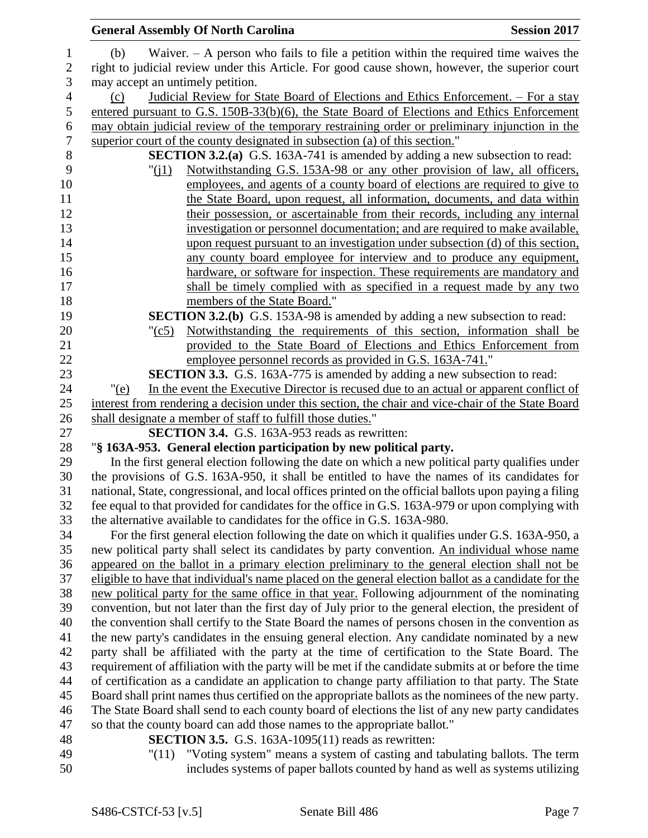|                  | <b>General Assembly Of North Carolina</b>                                                                                                                                                             | <b>Session 2017</b> |
|------------------|-------------------------------------------------------------------------------------------------------------------------------------------------------------------------------------------------------|---------------------|
| $\mathbf{1}$     | Waiver. $-$ A person who fails to file a petition within the required time waives the<br>(b)                                                                                                          |                     |
| $\sqrt{2}$       | right to judicial review under this Article. For good cause shown, however, the superior court                                                                                                        |                     |
| 3                | may accept an untimely petition.                                                                                                                                                                      |                     |
| $\overline{4}$   | Judicial Review for State Board of Elections and Ethics Enforcement. - For a stay<br>(c)                                                                                                              |                     |
| 5                | entered pursuant to G.S. 150B-33(b)(6), the State Board of Elections and Ethics Enforcement                                                                                                           |                     |
| $\boldsymbol{6}$ | may obtain judicial review of the temporary restraining order or preliminary injunction in the                                                                                                        |                     |
| $\boldsymbol{7}$ | superior court of the county designated in subsection (a) of this section."                                                                                                                           |                     |
| $8\,$            | <b>SECTION 3.2.(a)</b> G.S. 163A-741 is amended by adding a new subsection to read:                                                                                                                   |                     |
| 9                | Notwithstanding G.S. 153A-98 or any other provision of law, all officers,<br>"(i1)                                                                                                                    |                     |
| 10               | employees, and agents of a county board of elections are required to give to                                                                                                                          |                     |
| 11               | the State Board, upon request, all information, documents, and data within                                                                                                                            |                     |
| 12               | their possession, or ascertainable from their records, including any internal                                                                                                                         |                     |
| 13               | investigation or personnel documentation; and are required to make available,                                                                                                                         |                     |
| 14               | upon request pursuant to an investigation under subsection (d) of this section,                                                                                                                       |                     |
| 15               | any county board employee for interview and to produce any equipment,                                                                                                                                 |                     |
| 16               | hardware, or software for inspection. These requirements are mandatory and                                                                                                                            |                     |
| 17               | shall be timely complied with as specified in a request made by any two                                                                                                                               |                     |
| 18               | members of the State Board."                                                                                                                                                                          |                     |
| 19               | <b>SECTION 3.2.(b)</b> G.S. 153A-98 is amended by adding a new subsection to read:                                                                                                                    |                     |
| 20               | Notwithstanding the requirements of this section, information shall be<br>$"({c}5)$                                                                                                                   |                     |
| 21               | provided to the State Board of Elections and Ethics Enforcement from                                                                                                                                  |                     |
| 22               | employee personnel records as provided in G.S. 163A-741."                                                                                                                                             |                     |
| 23               | <b>SECTION 3.3.</b> G.S. 163A-775 is amended by adding a new subsection to read:                                                                                                                      |                     |
| 24               | In the event the Executive Director is recused due to an actual or apparent conflict of<br>" $(e)$                                                                                                    |                     |
| 25               | interest from rendering a decision under this section, the chair and vice-chair of the State Board                                                                                                    |                     |
| 26               | shall designate a member of staff to fulfill those duties."                                                                                                                                           |                     |
| 27               | <b>SECTION 3.4.</b> G.S. 163A-953 reads as rewritten:                                                                                                                                                 |                     |
| 28               | "§ 163A-953. General election participation by new political party.                                                                                                                                   |                     |
| 29               | In the first general election following the date on which a new political party qualifies under                                                                                                       |                     |
| 30               | the provisions of G.S. 163A-950, it shall be entitled to have the names of its candidates for                                                                                                         |                     |
| 31               | national, State, congressional, and local offices printed on the official ballots upon paying a filing                                                                                                |                     |
| 32               | fee equal to that provided for candidates for the office in G.S. 163A-979 or upon complying with                                                                                                      |                     |
| 33               | the alternative available to candidates for the office in G.S. 163A-980.                                                                                                                              |                     |
| 34               | For the first general election following the date on which it qualifies under G.S. 163A-950, a                                                                                                        |                     |
| 35               | new political party shall select its candidates by party convention. An individual whose name                                                                                                         |                     |
| 36               | appeared on the ballot in a primary election preliminary to the general election shall not be                                                                                                         |                     |
| 37<br>38         | eligible to have that individual's name placed on the general election ballot as a candidate for the                                                                                                  |                     |
| 39               | new political party for the same office in that year. Following adjournment of the nominating<br>convention, but not later than the first day of July prior to the general election, the president of |                     |
| 40               | the convention shall certify to the State Board the names of persons chosen in the convention as                                                                                                      |                     |
| 41               | the new party's candidates in the ensuing general election. Any candidate nominated by a new                                                                                                          |                     |
| 42               | party shall be affiliated with the party at the time of certification to the State Board. The                                                                                                         |                     |
| 43               | requirement of affiliation with the party will be met if the candidate submits at or before the time                                                                                                  |                     |
| 44               | of certification as a candidate an application to change party affiliation to that party. The State                                                                                                   |                     |
| 45               | Board shall print names thus certified on the appropriate ballots as the nominees of the new party.                                                                                                   |                     |
| 46               | The State Board shall send to each county board of elections the list of any new party candidates                                                                                                     |                     |
| 47               | so that the county board can add those names to the appropriate ballot."                                                                                                                              |                     |
| 48               | <b>SECTION 3.5.</b> G.S. 163A-1095(11) reads as rewritten:                                                                                                                                            |                     |
| 49               | "(11) "Voting system" means a system of casting and tabulating ballots. The term                                                                                                                      |                     |
| 50               | includes systems of paper ballots counted by hand as well as systems utilizing                                                                                                                        |                     |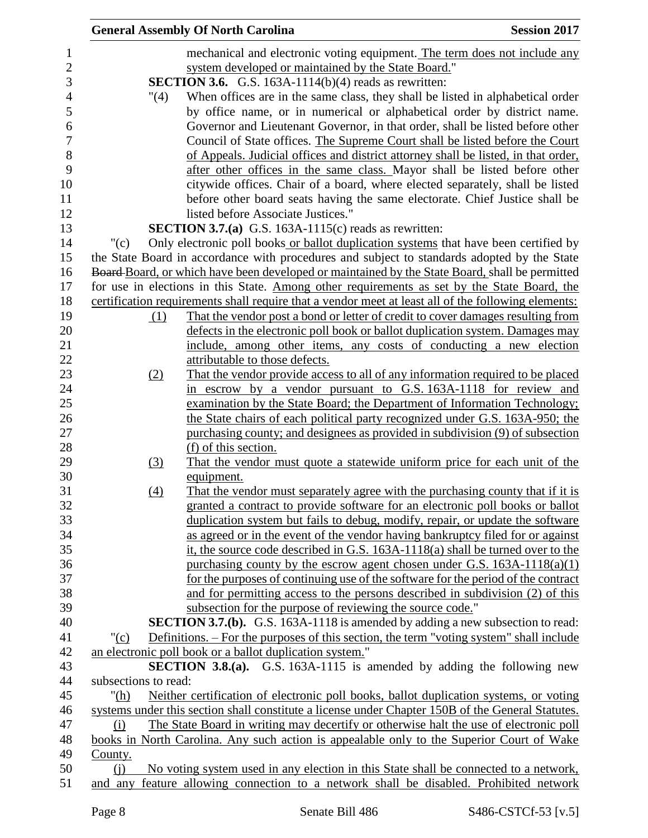|                      |      | <b>General Assembly Of North Carolina</b>                                                           | <b>Session 2017</b> |
|----------------------|------|-----------------------------------------------------------------------------------------------------|---------------------|
|                      |      | mechanical and electronic voting equipment. The term does not include any                           |                     |
|                      |      | system developed or maintained by the State Board."                                                 |                     |
|                      |      | <b>SECTION 3.6.</b> G.S. 163A-1114(b)(4) reads as rewritten:                                        |                     |
|                      | "(4) | When offices are in the same class, they shall be listed in alphabetical order                      |                     |
|                      |      | by office name, or in numerical or alphabetical order by district name.                             |                     |
|                      |      | Governor and Lieutenant Governor, in that order, shall be listed before other                       |                     |
|                      |      | Council of State offices. The Supreme Court shall be listed before the Court                        |                     |
|                      |      | of Appeals. Judicial offices and district attorney shall be listed, in that order,                  |                     |
|                      |      | after other offices in the same class. Mayor shall be listed before other                           |                     |
|                      |      | citywide offices. Chair of a board, where elected separately, shall be listed                       |                     |
|                      |      | before other board seats having the same electorate. Chief Justice shall be                         |                     |
|                      |      | listed before Associate Justices."                                                                  |                     |
|                      |      | <b>SECTION 3.7.(a)</b> G.S. 163A-1115(c) reads as rewritten:                                        |                     |
| "(c)                 |      | Only electronic poll books or ballot duplication systems that have been certified by                |                     |
|                      |      | the State Board in accordance with procedures and subject to standards adopted by the State         |                     |
|                      |      | Board-Board, or which have been developed or maintained by the State Board, shall be permitted      |                     |
|                      |      | for use in elections in this State. Among other requirements as set by the State Board, the         |                     |
|                      |      | certification requirements shall require that a vendor meet at least all of the following elements: |                     |
|                      | (1)  | That the vendor post a bond or letter of credit to cover damages resulting from                     |                     |
|                      |      | defects in the electronic poll book or ballot duplication system. Damages may                       |                     |
|                      |      | include, among other items, any costs of conducting a new election                                  |                     |
|                      |      | attributable to those defects.                                                                      |                     |
|                      | (2)  | That the vendor provide access to all of any information required to be placed                      |                     |
|                      |      | in escrow by a vendor pursuant to G.S. 163A-1118 for review and                                     |                     |
|                      |      | examination by the State Board; the Department of Information Technology;                           |                     |
|                      |      | the State chairs of each political party recognized under G.S. 163A-950; the                        |                     |
|                      |      | purchasing county; and designees as provided in subdivision (9) of subsection                       |                     |
|                      |      | (f) of this section.                                                                                |                     |
|                      | (3)  | That the vendor must quote a statewide uniform price for each unit of the                           |                     |
|                      |      | equipment.                                                                                          |                     |
|                      | (4)  | That the vendor must separately agree with the purchasing county that if it is                      |                     |
|                      |      | granted a contract to provide software for an electronic poll books or ballot                       |                     |
|                      |      | duplication system but fails to debug, modify, repair, or update the software                       |                     |
|                      |      | as agreed or in the event of the vendor having bankruptcy filed for or against                      |                     |
|                      |      | it, the source code described in G.S. 163A-1118(a) shall be turned over to the                      |                     |
|                      |      | purchasing county by the escrow agent chosen under G.S. 163A-1118(a)(1)                             |                     |
|                      |      | for the purposes of continuing use of the software for the period of the contract                   |                     |
|                      |      | and for permitting access to the persons described in subdivision (2) of this                       |                     |
|                      |      | subsection for the purpose of reviewing the source code."                                           |                     |
|                      |      | <b>SECTION 3.7.(b).</b> G.S. 163A-1118 is amended by adding a new subsection to read:               |                     |
| " $(c)$              |      | Definitions. – For the purposes of this section, the term "voting system" shall include             |                     |
|                      |      | an electronic poll book or a ballot duplication system."                                            |                     |
|                      |      | <b>SECTION 3.8.(a).</b> G.S. 163A-1115 is amended by adding the following new                       |                     |
| subsections to read: |      |                                                                                                     |                     |
| " $(h)$              |      | Neither certification of electronic poll books, ballot duplication systems, or voting               |                     |
|                      |      | systems under this section shall constitute a license under Chapter 150B of the General Statutes.   |                     |
| (i)                  |      | The State Board in writing may decertify or otherwise halt the use of electronic poll               |                     |
|                      |      | books in North Carolina. Any such action is appealable only to the Superior Court of Wake           |                     |
| County.              |      |                                                                                                     |                     |
| (i)                  |      | No voting system used in any election in this State shall be connected to a network,                |                     |
|                      |      | and any feature allowing connection to a network shall be disabled. Prohibited network              |                     |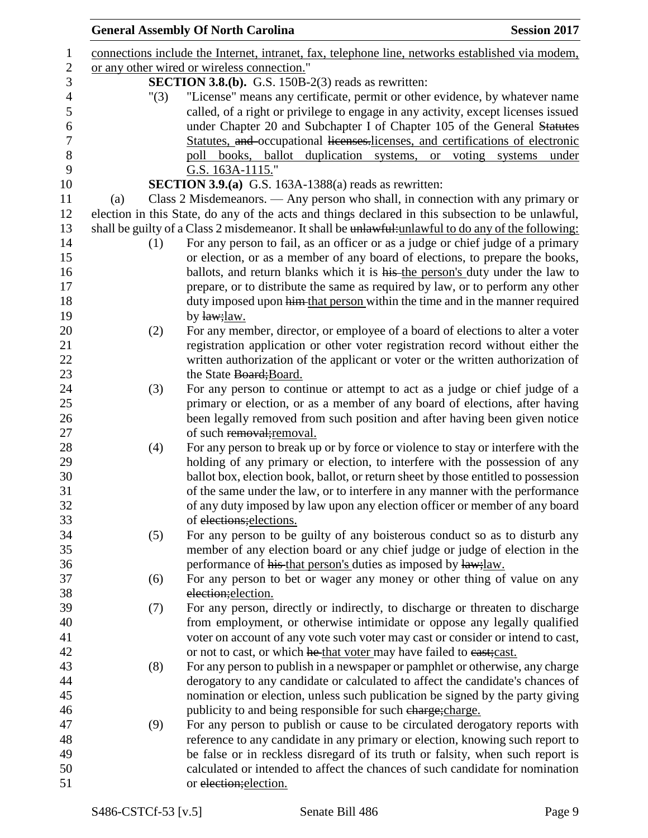|     |      | <b>General Assembly Of North Carolina</b>                                                           | <b>Session 2017</b> |
|-----|------|-----------------------------------------------------------------------------------------------------|---------------------|
|     |      | connections include the Internet, intranet, fax, telephone line, networks established via modem,    |                     |
|     |      | or any other wired or wireless connection."                                                         |                     |
|     |      | <b>SECTION 3.8.(b).</b> G.S. $150B-2(3)$ reads as rewritten:                                        |                     |
|     | "(3) | "License" means any certificate, permit or other evidence, by whatever name                         |                     |
|     |      | called, of a right or privilege to engage in any activity, except licenses issued                   |                     |
|     |      | under Chapter 20 and Subchapter I of Chapter 105 of the General Statutes                            |                     |
|     |      | Statutes, and occupational licenses.licenses, and certifications of electronic                      |                     |
|     |      | poll books, ballot duplication systems, or voting systems under                                     |                     |
|     |      | G.S. 163A-1115."                                                                                    |                     |
|     |      | SECTION 3.9.(a) G.S. 163A-1388(a) reads as rewritten:                                               |                     |
| (a) |      | Class 2 Misdemeanors. — Any person who shall, in connection with any primary or                     |                     |
|     |      | election in this State, do any of the acts and things declared in this subsection to be unlawful,   |                     |
|     |      | shall be guilty of a Class 2 misdemeanor. It shall be unlawful-unlawful to do any of the following: |                     |
|     | (1)  | For any person to fail, as an officer or as a judge or chief judge of a primary                     |                     |
|     |      | or election, or as a member of any board of elections, to prepare the books,                        |                     |
|     |      | ballots, and return blanks which it is his the person's duty under the law to                       |                     |
|     |      | prepare, or to distribute the same as required by law, or to perform any other                      |                     |
|     |      | duty imposed upon him that person within the time and in the manner required                        |                     |
|     |      | by law; law.                                                                                        |                     |
|     | (2)  | For any member, director, or employee of a board of elections to alter a voter                      |                     |
|     |      | registration application or other voter registration record without either the                      |                     |
|     |      | written authorization of the applicant or voter or the written authorization of                     |                     |
|     |      | the State Board; Board.                                                                             |                     |
|     | (3)  | For any person to continue or attempt to act as a judge or chief judge of a                         |                     |
|     |      | primary or election, or as a member of any board of elections, after having                         |                     |
|     |      | been legally removed from such position and after having been given notice                          |                     |
|     |      | of such removal; removal.                                                                           |                     |
|     | (4)  | For any person to break up or by force or violence to stay or interfere with the                    |                     |
|     |      | holding of any primary or election, to interfere with the possession of any                         |                     |
|     |      | ballot box, election book, ballot, or return sheet by those entitled to possession                  |                     |
|     |      | of the same under the law, or to interfere in any manner with the performance                       |                     |
|     |      | of any duty imposed by law upon any election officer or member of any board                         |                     |
|     |      | of elections; elections.                                                                            |                     |
|     | (5)  | For any person to be guilty of any boisterous conduct so as to disturb any                          |                     |
|     |      | member of any election board or any chief judge or judge of election in the                         |                     |
|     |      | performance of his that person's duties as imposed by law; law.                                     |                     |
|     | (6)  | For any person to bet or wager any money or other thing of value on any                             |                     |
|     |      | election; election.                                                                                 |                     |
|     | (7)  | For any person, directly or indirectly, to discharge or threaten to discharge                       |                     |
|     |      | from employment, or otherwise intimidate or oppose any legally qualified                            |                     |
|     |      | voter on account of any vote such voter may cast or consider or intend to cast,                     |                     |
|     |      | or not to cast, or which he that voter may have failed to east; cast.                               |                     |
|     | (8)  | For any person to publish in a newspaper or pamphlet or otherwise, any charge                       |                     |
|     |      | derogatory to any candidate or calculated to affect the candidate's chances of                      |                     |
|     |      | nomination or election, unless such publication be signed by the party giving                       |                     |
|     |      | publicity to and being responsible for such charge; charge.                                         |                     |
|     | (9)  | For any person to publish or cause to be circulated derogatory reports with                         |                     |
|     |      | reference to any candidate in any primary or election, knowing such report to                       |                     |
|     |      | be false or in reckless disregard of its truth or falsity, when such report is                      |                     |
|     |      | calculated or intended to affect the chances of such candidate for nomination                       |                     |
|     |      | or election; election.                                                                              |                     |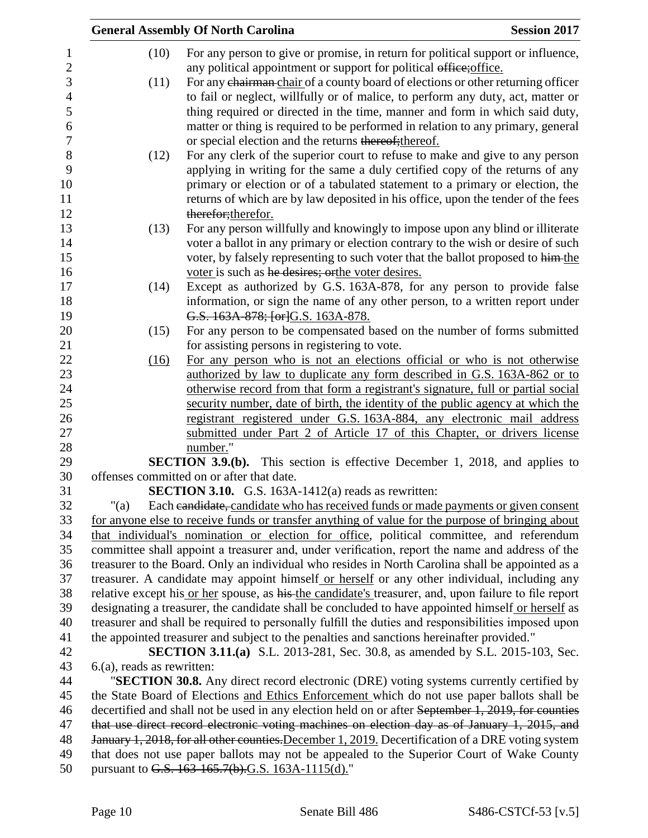|                              | <b>General Assembly Of North Carolina</b>                                                                                                                                                               | <b>Session 2017</b> |
|------------------------------|---------------------------------------------------------------------------------------------------------------------------------------------------------------------------------------------------------|---------------------|
| (10)                         | For any person to give or promise, in return for political support or influence,                                                                                                                        |                     |
|                              | any political appointment or support for political office; office.                                                                                                                                      |                     |
| (11)                         | For any chairman-chair of a county board of elections or other returning officer                                                                                                                        |                     |
|                              | to fail or neglect, willfully or of malice, to perform any duty, act, matter or                                                                                                                         |                     |
|                              | thing required or directed in the time, manner and form in which said duty,                                                                                                                             |                     |
|                              | matter or thing is required to be performed in relation to any primary, general                                                                                                                         |                     |
|                              | or special election and the returns thereof; thereof.                                                                                                                                                   |                     |
| (12)                         | For any clerk of the superior court to refuse to make and give to any person                                                                                                                            |                     |
|                              | applying in writing for the same a duly certified copy of the returns of any                                                                                                                            |                     |
|                              | primary or election or of a tabulated statement to a primary or election, the                                                                                                                           |                     |
|                              | returns of which are by law deposited in his office, upon the tender of the fees                                                                                                                        |                     |
|                              | therefor; therefor.                                                                                                                                                                                     |                     |
| (13)                         | For any person willfully and knowingly to impose upon any blind or illiterate                                                                                                                           |                     |
|                              | voter a ballot in any primary or election contrary to the wish or desire of such                                                                                                                        |                     |
|                              | voter, by falsely representing to such voter that the ballot proposed to him-the                                                                                                                        |                     |
|                              | voter is such as he desires; orthe voter desires.                                                                                                                                                       |                     |
| (14)                         | Except as authorized by G.S. 163A-878, for any person to provide false                                                                                                                                  |                     |
|                              | information, or sign the name of any other person, to a written report under                                                                                                                            |                     |
| (15)                         | G.S. 163A-878; [or]G.S. 163A-878.<br>For any person to be compensated based on the number of forms submitted                                                                                            |                     |
|                              | for assisting persons in registering to vote.                                                                                                                                                           |                     |
| (16)                         | For any person who is not an elections official or who is not otherwise                                                                                                                                 |                     |
|                              | authorized by law to duplicate any form described in G.S. 163A-862 or to                                                                                                                                |                     |
|                              | otherwise record from that form a registrant's signature, full or partial social                                                                                                                        |                     |
|                              | security number, date of birth, the identity of the public agency at which the                                                                                                                          |                     |
|                              | registrant registered under G.S. 163A-884, any electronic mail address                                                                                                                                  |                     |
|                              | submitted under Part 2 of Article 17 of this Chapter, or drivers license                                                                                                                                |                     |
|                              | number."                                                                                                                                                                                                |                     |
|                              | <b>SECTION 3.9.(b).</b> This section is effective December 1, 2018, and applies to                                                                                                                      |                     |
|                              | offenses committed on or after that date.                                                                                                                                                               |                     |
|                              | <b>SECTION 3.10.</b> G.S. 163A-1412(a) reads as rewritten:                                                                                                                                              |                     |
| " $(a)$                      | Each eandidate, candidate who has received funds or made payments or given consent                                                                                                                      |                     |
|                              | for anyone else to receive funds or transfer anything of value for the purpose of bringing about                                                                                                        |                     |
|                              | that individual's nomination or election for office, political committee, and referendum                                                                                                                |                     |
|                              | committee shall appoint a treasurer and, under verification, report the name and address of the                                                                                                         |                     |
|                              | treasurer to the Board. Only an individual who resides in North Carolina shall be appointed as a                                                                                                        |                     |
|                              | treasurer. A candidate may appoint himself or herself or any other individual, including any                                                                                                            |                     |
|                              | relative except his or her spouse, as his the candidate's treasurer, and, upon failure to file report                                                                                                   |                     |
|                              | designating a treasurer, the candidate shall be concluded to have appointed himself or herself as<br>treasurer and shall be required to personally fulfill the duties and responsibilities imposed upon |                     |
|                              | the appointed treasurer and subject to the penalties and sanctions hereinafter provided."                                                                                                               |                     |
|                              | <b>SECTION 3.11.(a)</b> S.L. 2013-281, Sec. 30.8, as amended by S.L. 2015-103, Sec.                                                                                                                     |                     |
| $6(a)$ , reads as rewritten: |                                                                                                                                                                                                         |                     |
|                              | "SECTION 30.8. Any direct record electronic (DRE) voting systems currently certified by                                                                                                                 |                     |
|                              | the State Board of Elections and Ethics Enforcement which do not use paper ballots shall be                                                                                                             |                     |
|                              | decertified and shall not be used in any election held on or after September 1, 2019, for counties                                                                                                      |                     |
|                              | that use direct record electronic voting machines on election day as of January 1, 2015, and                                                                                                            |                     |
|                              | January 1, 2018, for all other counties. December 1, 2019. Decertification of a DRE voting system                                                                                                       |                     |
|                              | that does not use paper ballots may not be appealed to the Superior Court of Wake County                                                                                                                |                     |
|                              | pursuant to G.S. 163-165.7(b).G.S. 163A-1115(d)."                                                                                                                                                       |                     |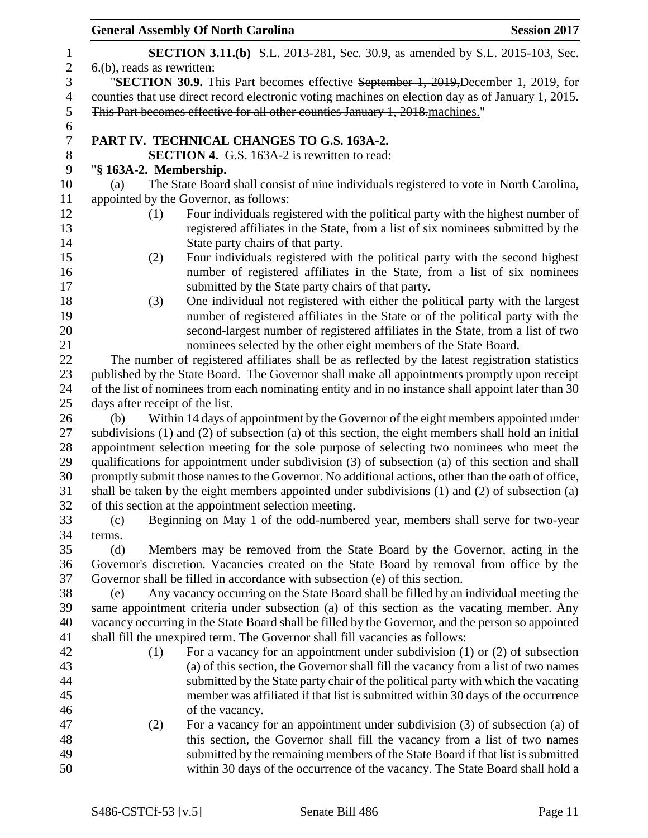| <b>Session 2017</b>                                                                                                                                           |
|---------------------------------------------------------------------------------------------------------------------------------------------------------------|
| <b>SECTION 3.11.(b)</b> S.L. 2013-281, Sec. 30.9, as amended by S.L. 2015-103, Sec.                                                                           |
|                                                                                                                                                               |
| "SECTION 30.9. This Part becomes effective September 1, 2019, December 1, 2019, for                                                                           |
| counties that use direct record electronic voting machines on election day as of January 1, 2015.                                                             |
|                                                                                                                                                               |
|                                                                                                                                                               |
|                                                                                                                                                               |
|                                                                                                                                                               |
| The State Board shall consist of nine individuals registered to vote in North Carolina,                                                                       |
|                                                                                                                                                               |
| Four individuals registered with the political party with the highest number of                                                                               |
| registered affiliates in the State, from a list of six nominees submitted by the                                                                              |
|                                                                                                                                                               |
| Four individuals registered with the political party with the second highest                                                                                  |
| number of registered affiliates in the State, from a list of six nominees                                                                                     |
|                                                                                                                                                               |
| One individual not registered with either the political party with the largest                                                                                |
| number of registered affiliates in the State or of the political party with the                                                                               |
| second-largest number of registered affiliates in the State, from a list of two                                                                               |
| nominees selected by the other eight members of the State Board.                                                                                              |
| The number of registered affiliates shall be as reflected by the latest registration statistics                                                               |
| published by the State Board. The Governor shall make all appointments promptly upon receipt                                                                  |
| of the list of nominees from each nominating entity and in no instance shall appoint later than 30                                                            |
| Within 14 days of appointment by the Governor of the eight members appointed under                                                                            |
| subdivisions (1) and (2) of subsection (a) of this section, the eight members shall hold an initial                                                           |
| appointment selection meeting for the sole purpose of selecting two nominees who meet the                                                                     |
| qualifications for appointment under subdivision (3) of subsection (a) of this section and shall                                                              |
| promptly submit those names to the Governor. No additional actions, other than the oath of office,                                                            |
| shall be taken by the eight members appointed under subdivisions (1) and (2) of subsection (a)                                                                |
|                                                                                                                                                               |
| Beginning on May 1 of the odd-numbered year, members shall serve for two-year                                                                                 |
|                                                                                                                                                               |
| Members may be removed from the State Board by the Governor, acting in the                                                                                    |
| Governor's discretion. Vacancies created on the State Board by removal from office by the                                                                     |
|                                                                                                                                                               |
|                                                                                                                                                               |
| Any vacancy occurring on the State Board shall be filled by an individual meeting the                                                                         |
| same appointment criteria under subsection (a) of this section as the vacating member. Any                                                                    |
| vacancy occurring in the State Board shall be filled by the Governor, and the person so appointed                                                             |
|                                                                                                                                                               |
| For a vacancy for an appointment under subdivision $(1)$ or $(2)$ of subsection                                                                               |
| (a) of this section, the Governor shall fill the vacancy from a list of two names                                                                             |
| submitted by the State party chair of the political party with which the vacating                                                                             |
| member was affiliated if that list is submitted within 30 days of the occurrence                                                                              |
|                                                                                                                                                               |
| For a vacancy for an appointment under subdivision (3) of subsection (a) of                                                                                   |
| this section, the Governor shall fill the vacancy from a list of two names<br>submitted by the remaining members of the State Board if that list is submitted |
|                                                                                                                                                               |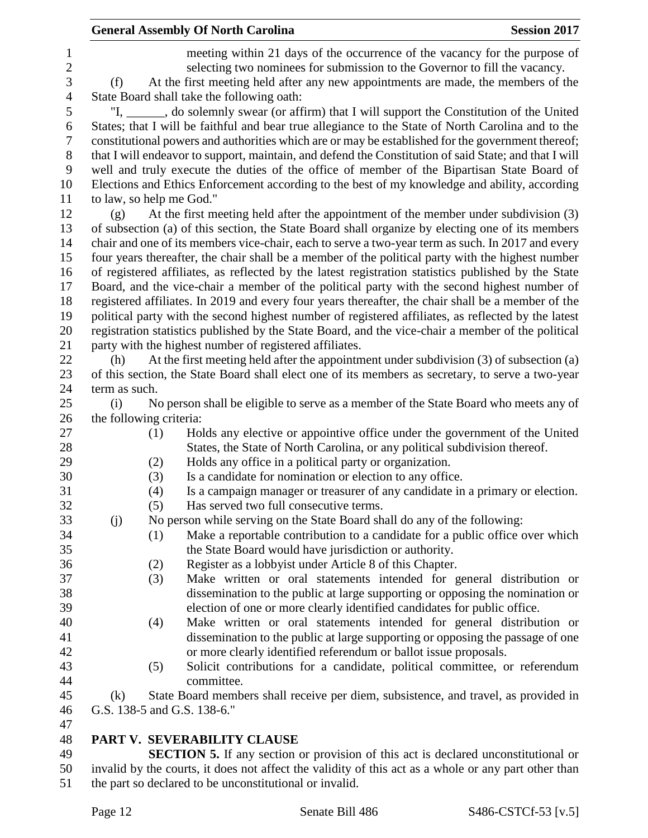|                                     |                          |     | <b>General Assembly Of North Carolina</b>                                                                                                                                                                                                     | <b>Session 2017</b> |
|-------------------------------------|--------------------------|-----|-----------------------------------------------------------------------------------------------------------------------------------------------------------------------------------------------------------------------------------------------|---------------------|
| $\mathbf{1}$<br>$\overline{2}$<br>3 | (f)                      |     | meeting within 21 days of the occurrence of the vacancy for the purpose of<br>selecting two nominees for submission to the Governor to fill the vacancy.<br>At the first meeting held after any new appointments are made, the members of the |                     |
| 4                                   |                          |     | State Board shall take the following oath:                                                                                                                                                                                                    |                     |
| 5<br>6                              |                          |     | "I, ______, do solemnly swear (or affirm) that I will support the Constitution of the United<br>States; that I will be faithful and bear true allegiance to the State of North Carolina and to the                                            |                     |
| 7                                   |                          |     | constitutional powers and authorities which are or may be established for the government thereof;                                                                                                                                             |                     |
| 8<br>9                              |                          |     | that I will endeavor to support, maintain, and defend the Constitution of said State; and that I will<br>well and truly execute the duties of the office of member of the Bipartisan State Board of                                           |                     |
| 10                                  |                          |     | Elections and Ethics Enforcement according to the best of my knowledge and ability, according                                                                                                                                                 |                     |
| 11                                  | to law, so help me God." |     |                                                                                                                                                                                                                                               |                     |
| 12                                  | (g)                      |     | At the first meeting held after the appointment of the member under subdivision (3)                                                                                                                                                           |                     |
| 13                                  |                          |     | of subsection (a) of this section, the State Board shall organize by electing one of its members                                                                                                                                              |                     |
| 14                                  |                          |     | chair and one of its members vice-chair, each to serve a two-year term as such. In 2017 and every                                                                                                                                             |                     |
| 15                                  |                          |     | four years thereafter, the chair shall be a member of the political party with the highest number                                                                                                                                             |                     |
| 16                                  |                          |     | of registered affiliates, as reflected by the latest registration statistics published by the State                                                                                                                                           |                     |
| 17                                  |                          |     | Board, and the vice-chair a member of the political party with the second highest number of                                                                                                                                                   |                     |
| 18                                  |                          |     | registered affiliates. In 2019 and every four years thereafter, the chair shall be a member of the                                                                                                                                            |                     |
| 19                                  |                          |     | political party with the second highest number of registered affiliates, as reflected by the latest                                                                                                                                           |                     |
| 20                                  |                          |     | registration statistics published by the State Board, and the vice-chair a member of the political                                                                                                                                            |                     |
| 21                                  |                          |     | party with the highest number of registered affiliates.                                                                                                                                                                                       |                     |
| 22                                  | (h)                      |     | At the first meeting held after the appointment under subdivision (3) of subsection (a)                                                                                                                                                       |                     |
| 23                                  |                          |     | of this section, the State Board shall elect one of its members as secretary, to serve a two-year                                                                                                                                             |                     |
| 24                                  | term as such.            |     |                                                                                                                                                                                                                                               |                     |
| 25                                  | (i)                      |     | No person shall be eligible to serve as a member of the State Board who meets any of                                                                                                                                                          |                     |
| 26                                  | the following criteria:  |     |                                                                                                                                                                                                                                               |                     |
| 27                                  |                          | (1) | Holds any elective or appointive office under the government of the United                                                                                                                                                                    |                     |
| 28                                  |                          |     | States, the State of North Carolina, or any political subdivision thereof.                                                                                                                                                                    |                     |
| 29                                  |                          | (2) | Holds any office in a political party or organization.                                                                                                                                                                                        |                     |
| 30                                  |                          | (3) | Is a candidate for nomination or election to any office.                                                                                                                                                                                      |                     |
| 31                                  |                          | (4) | Is a campaign manager or treasurer of any candidate in a primary or election.                                                                                                                                                                 |                     |
| 32                                  |                          | (5) | Has served two full consecutive terms.                                                                                                                                                                                                        |                     |
| 33                                  | (j)                      |     | No person while serving on the State Board shall do any of the following:                                                                                                                                                                     |                     |
| 34                                  |                          | (1) | Make a reportable contribution to a candidate for a public office over which                                                                                                                                                                  |                     |
| 35                                  |                          |     | the State Board would have jurisdiction or authority.                                                                                                                                                                                         |                     |
| 36                                  |                          | (2) | Register as a lobbyist under Article 8 of this Chapter.                                                                                                                                                                                       |                     |
| 37                                  |                          | (3) | Make written or oral statements intended for general distribution or                                                                                                                                                                          |                     |
| 38                                  |                          |     | dissemination to the public at large supporting or opposing the nomination or                                                                                                                                                                 |                     |
| 39                                  |                          |     | election of one or more clearly identified candidates for public office.                                                                                                                                                                      |                     |
| 40                                  |                          | (4) | Make written or oral statements intended for general distribution or                                                                                                                                                                          |                     |
| 41                                  |                          |     | dissemination to the public at large supporting or opposing the passage of one                                                                                                                                                                |                     |
| 42                                  |                          |     | or more clearly identified referendum or ballot issue proposals.                                                                                                                                                                              |                     |
| 43                                  |                          | (5) | Solicit contributions for a candidate, political committee, or referendum                                                                                                                                                                     |                     |
| 44                                  |                          |     | committee.                                                                                                                                                                                                                                    |                     |
| 45                                  | (k)                      |     | State Board members shall receive per diem, subsistence, and travel, as provided in                                                                                                                                                           |                     |
| 46                                  |                          |     | G.S. 138-5 and G.S. 138-6."                                                                                                                                                                                                                   |                     |
| 47                                  |                          |     |                                                                                                                                                                                                                                               |                     |
| 48                                  |                          |     | PART V. SEVERABILITY CLAUSE                                                                                                                                                                                                                   |                     |
| 49                                  |                          |     | <b>SECTION 5.</b> If any section or provision of this act is declared unconstitutional or                                                                                                                                                     |                     |
| 50                                  |                          |     | invalid by the courts, it does not affect the validity of this act as a whole or any part other than                                                                                                                                          |                     |

the part so declared to be unconstitutional or invalid.